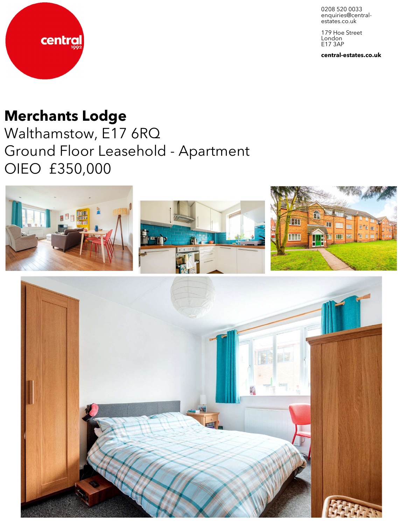0208 520 0033 enquiries@central-<br>estates.co.uk

179 Hoe Street London E17 3AP

**central-estates.co.uk**



## **Merchants Lodge**

Walthamstow, E17 6RQ Ground Floor Leasehold - Apartment OIEO £350,000